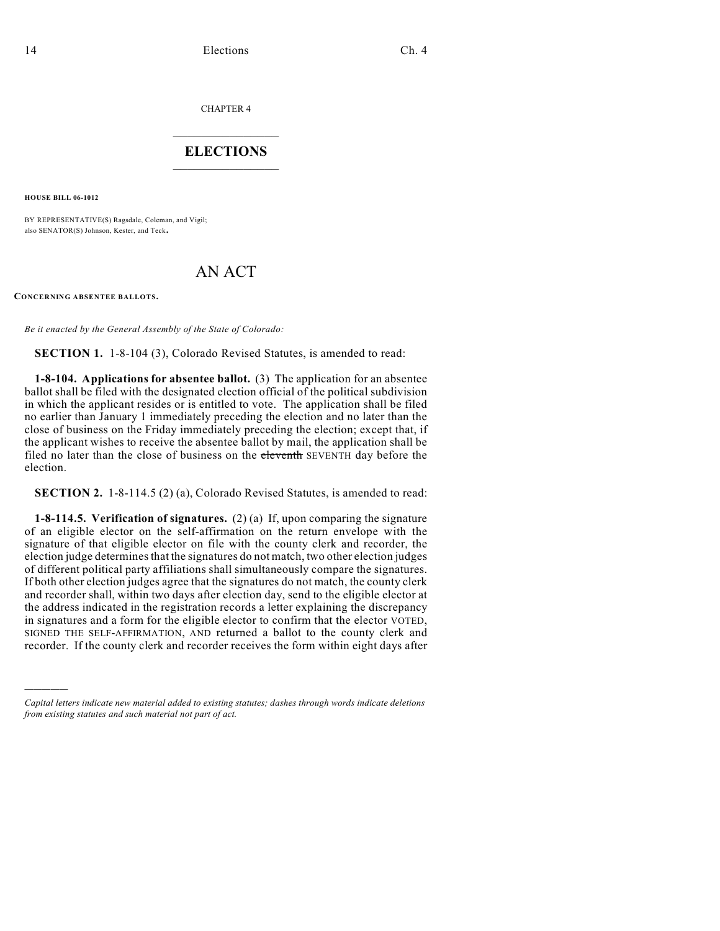CHAPTER 4

## $\overline{\phantom{a}}$  . The set of the set of the set of the set of the set of the set of the set of the set of the set of the set of the set of the set of the set of the set of the set of the set of the set of the set of the set o **ELECTIONS**  $\_$

**HOUSE BILL 06-1012**

)))))

BY REPRESENTATIVE(S) Ragsdale, Coleman, and Vigil; also SENATOR(S) Johnson, Kester, and Teck.

## AN ACT

**CONCERNING ABSENTEE BALLOTS.**

*Be it enacted by the General Assembly of the State of Colorado:*

**SECTION 1.** 1-8-104 (3), Colorado Revised Statutes, is amended to read:

**1-8-104. Applications for absentee ballot.** (3) The application for an absentee ballot shall be filed with the designated election official of the political subdivision in which the applicant resides or is entitled to vote. The application shall be filed no earlier than January 1 immediately preceding the election and no later than the close of business on the Friday immediately preceding the election; except that, if the applicant wishes to receive the absentee ballot by mail, the application shall be filed no later than the close of business on the eleventh SEVENTH day before the election.

**SECTION 2.** 1-8-114.5 (2) (a), Colorado Revised Statutes, is amended to read:

**1-8-114.5. Verification of signatures.** (2) (a) If, upon comparing the signature of an eligible elector on the self-affirmation on the return envelope with the signature of that eligible elector on file with the county clerk and recorder, the election judge determines that the signatures do not match, two other election judges of different political party affiliations shall simultaneously compare the signatures. If both other election judges agree that the signatures do not match, the county clerk and recorder shall, within two days after election day, send to the eligible elector at the address indicated in the registration records a letter explaining the discrepancy in signatures and a form for the eligible elector to confirm that the elector VOTED, SIGNED THE SELF-AFFIRMATION, AND returned a ballot to the county clerk and recorder. If the county clerk and recorder receives the form within eight days after

*Capital letters indicate new material added to existing statutes; dashes through words indicate deletions from existing statutes and such material not part of act.*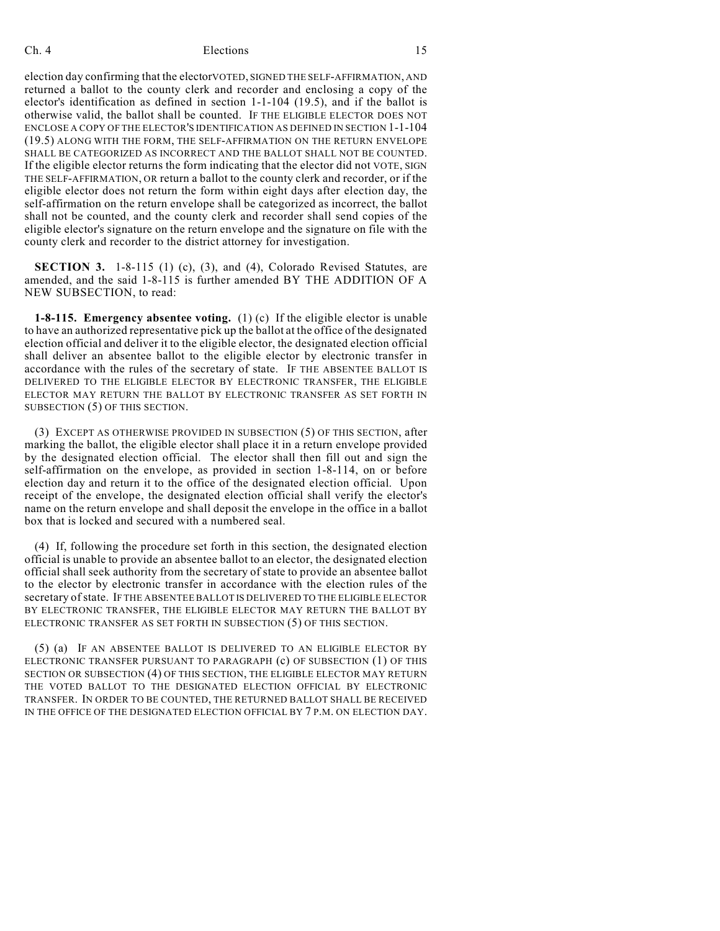## Ch. 4 **Elections** 15

election day confirming that the electorVOTED, SIGNED THE SELF-AFFIRMATION, AND returned a ballot to the county clerk and recorder and enclosing a copy of the elector's identification as defined in section 1-1-104 (19.5), and if the ballot is otherwise valid, the ballot shall be counted. IF THE ELIGIBLE ELECTOR DOES NOT ENCLOSE A COPY OF THE ELECTOR'S IDENTIFICATION AS DEFINED IN SECTION 1-1-104 (19.5) ALONG WITH THE FORM, THE SELF-AFFIRMATION ON THE RETURN ENVELOPE SHALL BE CATEGORIZED AS INCORRECT AND THE BALLOT SHALL NOT BE COUNTED. If the eligible elector returns the form indicating that the elector did not VOTE, SIGN THE SELF-AFFIRMATION, OR return a ballot to the county clerk and recorder, or if the eligible elector does not return the form within eight days after election day, the self-affirmation on the return envelope shall be categorized as incorrect, the ballot shall not be counted, and the county clerk and recorder shall send copies of the eligible elector's signature on the return envelope and the signature on file with the county clerk and recorder to the district attorney for investigation.

**SECTION 3.** 1-8-115 (1) (c), (3), and (4), Colorado Revised Statutes, are amended, and the said 1-8-115 is further amended BY THE ADDITION OF A NEW SUBSECTION, to read:

**1-8-115. Emergency absentee voting.** (1) (c) If the eligible elector is unable to have an authorized representative pick up the ballot at the office of the designated election official and deliver it to the eligible elector, the designated election official shall deliver an absentee ballot to the eligible elector by electronic transfer in accordance with the rules of the secretary of state. IF THE ABSENTEE BALLOT IS DELIVERED TO THE ELIGIBLE ELECTOR BY ELECTRONIC TRANSFER, THE ELIGIBLE ELECTOR MAY RETURN THE BALLOT BY ELECTRONIC TRANSFER AS SET FORTH IN SUBSECTION (5) OF THIS SECTION.

(3) EXCEPT AS OTHERWISE PROVIDED IN SUBSECTION (5) OF THIS SECTION, after marking the ballot, the eligible elector shall place it in a return envelope provided by the designated election official. The elector shall then fill out and sign the self-affirmation on the envelope, as provided in section 1-8-114, on or before election day and return it to the office of the designated election official. Upon receipt of the envelope, the designated election official shall verify the elector's name on the return envelope and shall deposit the envelope in the office in a ballot box that is locked and secured with a numbered seal.

(4) If, following the procedure set forth in this section, the designated election official is unable to provide an absentee ballot to an elector, the designated election official shall seek authority from the secretary of state to provide an absentee ballot to the elector by electronic transfer in accordance with the election rules of the secretary of state. IF THE ABSENTEE BALLOT IS DELIVERED TO THE ELIGIBLE ELECTOR BY ELECTRONIC TRANSFER, THE ELIGIBLE ELECTOR MAY RETURN THE BALLOT BY ELECTRONIC TRANSFER AS SET FORTH IN SUBSECTION (5) OF THIS SECTION.

(5) (a) IF AN ABSENTEE BALLOT IS DELIVERED TO AN ELIGIBLE ELECTOR BY ELECTRONIC TRANSFER PURSUANT TO PARAGRAPH (c) OF SUBSECTION (1) OF THIS SECTION OR SUBSECTION (4) OF THIS SECTION, THE ELIGIBLE ELECTOR MAY RETURN THE VOTED BALLOT TO THE DESIGNATED ELECTION OFFICIAL BY ELECTRONIC TRANSFER. IN ORDER TO BE COUNTED, THE RETURNED BALLOT SHALL BE RECEIVED IN THE OFFICE OF THE DESIGNATED ELECTION OFFICIAL BY 7 P.M. ON ELECTION DAY.